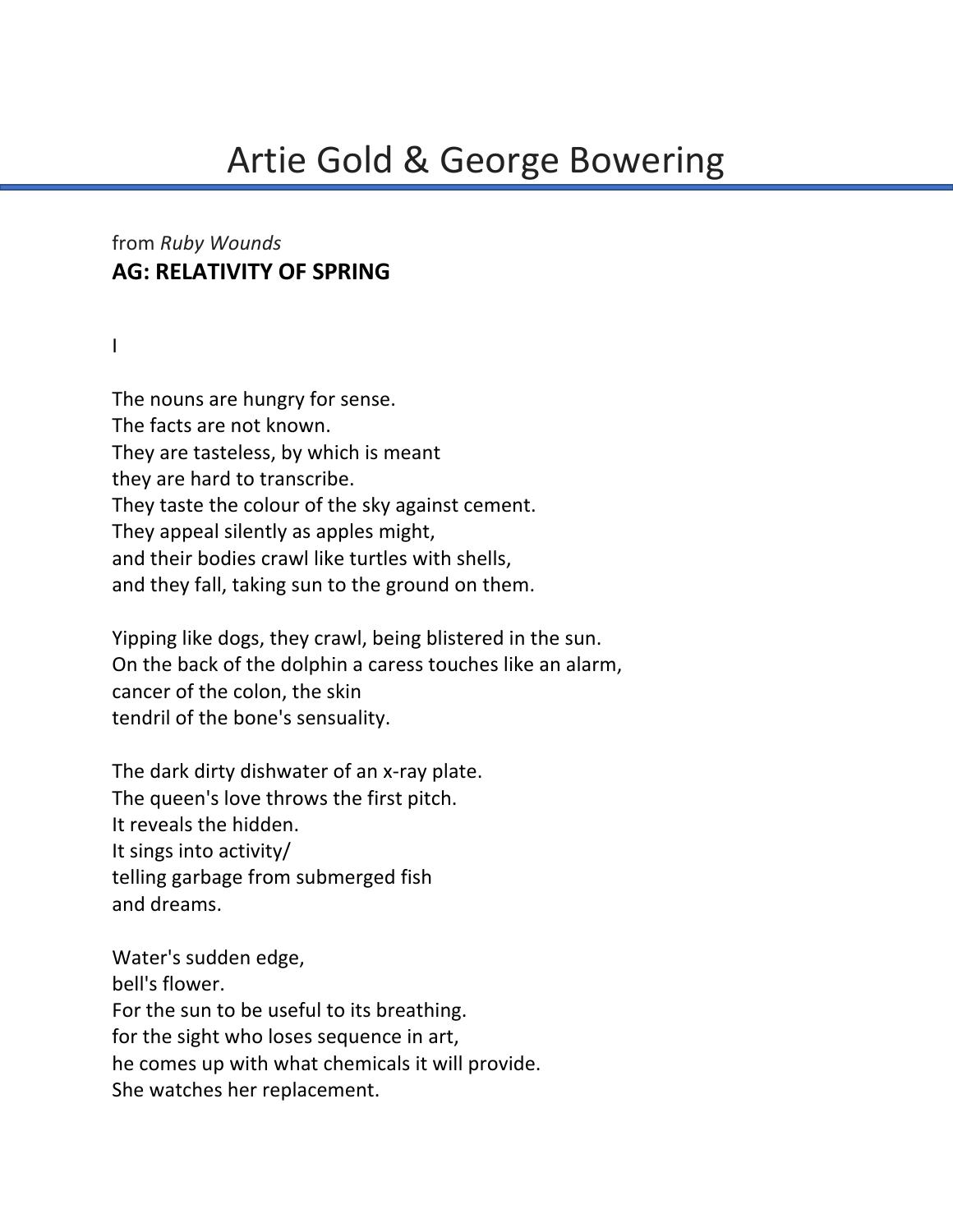# from *Ruby Wounds* **AG: RELATIVITY OF SPRING**

I

The nouns are hungry for sense. The facts are not known. They are tasteless, by which is meant they are hard to transcribe. They taste the colour of the sky against cement. They appeal silently as apples might, and their bodies crawl like turtles with shells, and they fall, taking sun to the ground on them.

Yipping like dogs, they crawl, being blistered in the sun. On the back of the dolphin a caress touches like an alarm, cancer of the colon, the skin tendril of the bone's sensuality.

The dark dirty dishwater of an x-ray plate. The queen's love throws the first pitch. It reveals the hidden. It sings into activity/ telling garbage from submerged fish and dreams.

Water's sudden edge, bell's flower. For the sun to be useful to its breathing. for the sight who loses sequence in art, he comes up with what chemicals it will provide. She watches her replacement.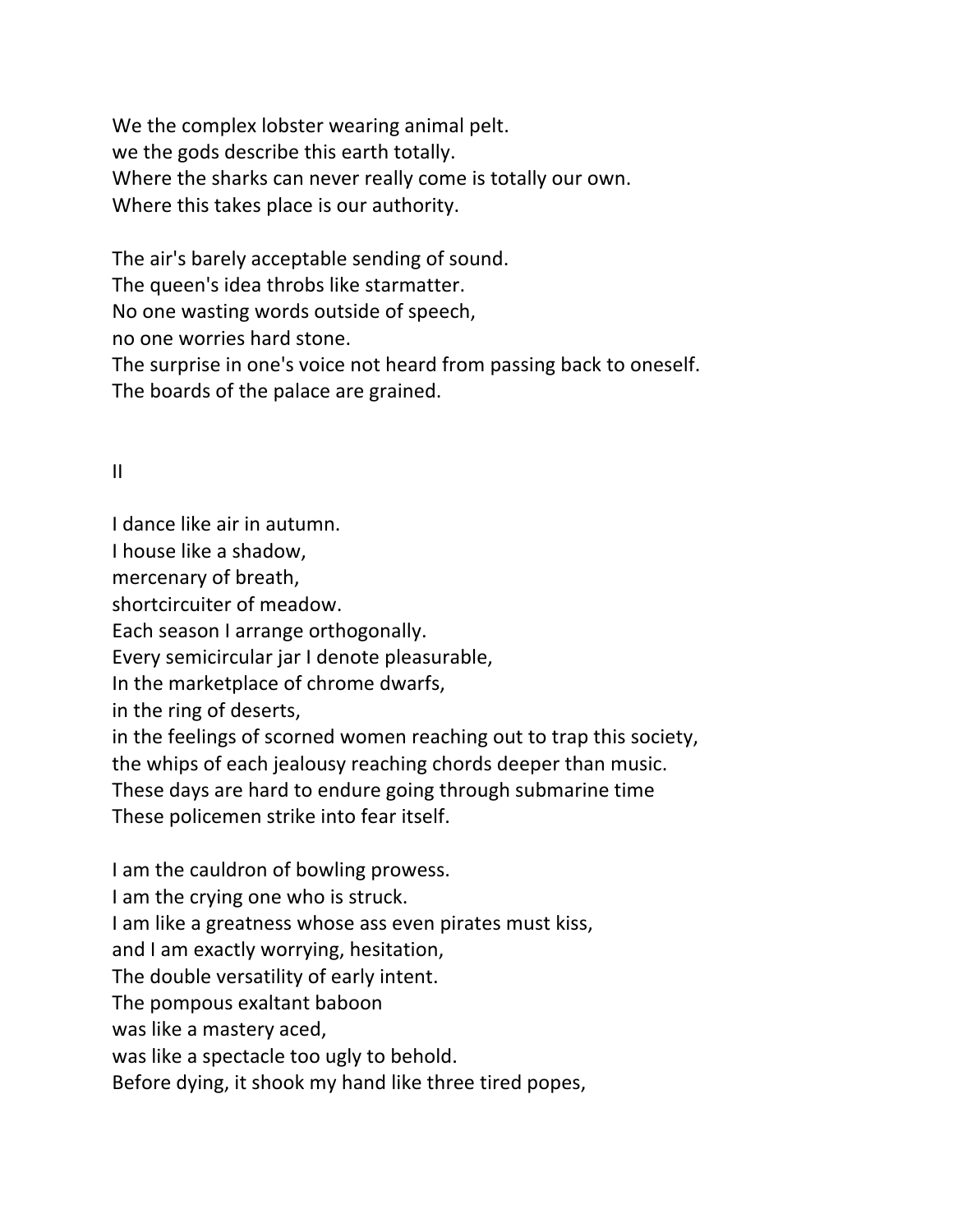We the complex lobster wearing animal pelt. we the gods describe this earth totally. Where the sharks can never really come is totally our own. Where this takes place is our authority.

The air's barely acceptable sending of sound.

The queen's idea throbs like starmatter.

No one wasting words outside of speech,

no one worries hard stone.

The surprise in one's voice not heard from passing back to oneself. The boards of the palace are grained.

### II

I dance like air in autumn.

I house like a shadow,

mercenary of breath,

shortcircuiter of meadow.

Each season I arrange orthogonally.

Every semicircular jar I denote pleasurable,

In the marketplace of chrome dwarfs,

in the ring of deserts,

in the feelings of scorned women reaching out to trap this society,

the whips of each jealousy reaching chords deeper than music.

These days are hard to endure going through submarine time

These policemen strike into fear itself.

I am the cauldron of bowling prowess.

I am the crying one who is struck.

I am like a greatness whose ass even pirates must kiss,

and I am exactly worrying, hesitation,

The double versatility of early intent.

The pompous exaltant baboon

was like a mastery aced,

was like a spectacle too ugly to behold.

Before dying, it shook my hand like three tired popes,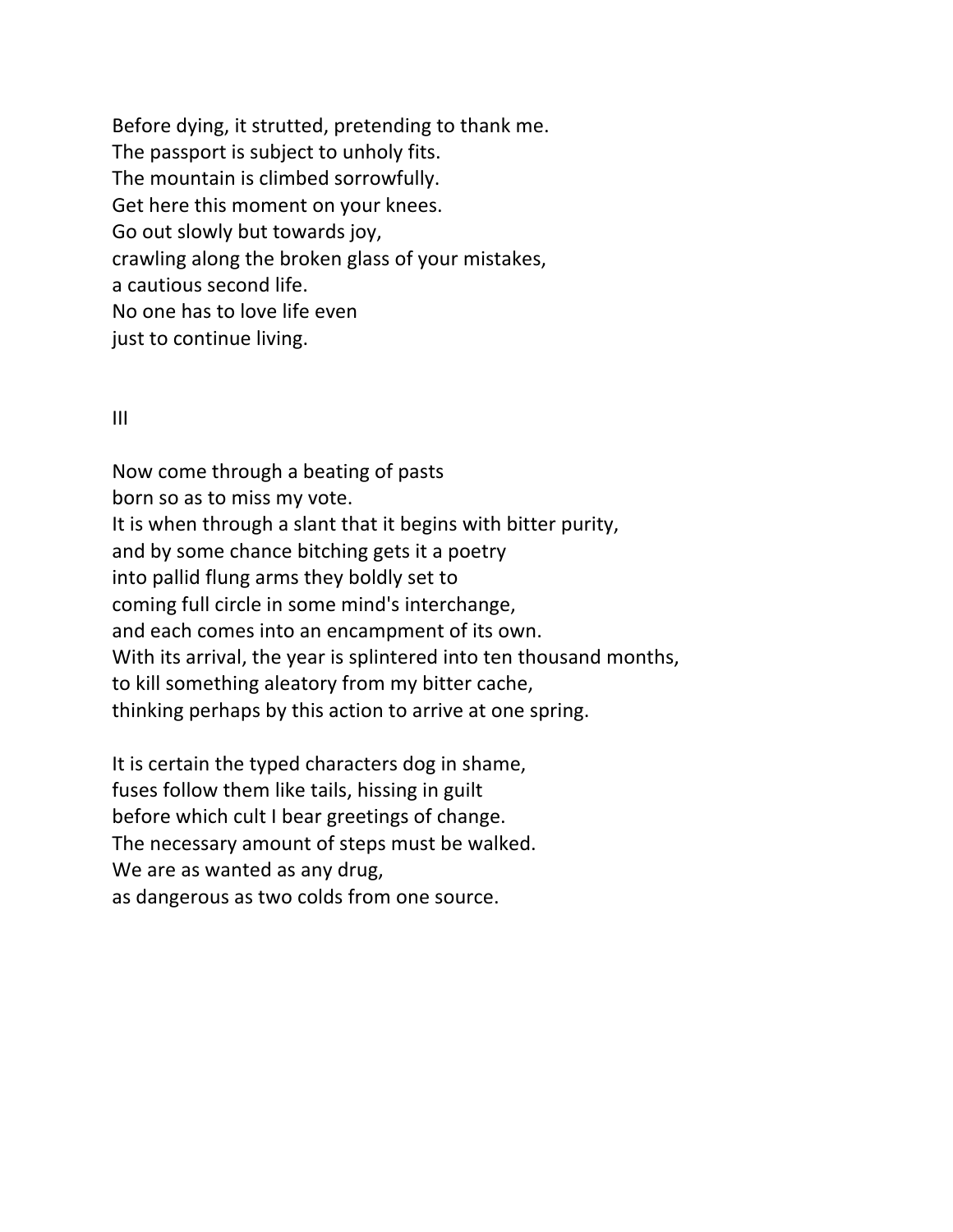Before dying, it strutted, pretending to thank me. The passport is subject to unholy fits. The mountain is climbed sorrowfully. Get here this moment on your knees. Go out slowly but towards joy, crawling along the broken glass of your mistakes, a cautious second life. No one has to love life even just to continue living.

#### III

Now come through a beating of pasts born so as to miss my vote. It is when through a slant that it begins with bitter purity, and by some chance bitching gets it a poetry into pallid flung arms they boldly set to coming full circle in some mind's interchange, and each comes into an encampment of its own. With its arrival, the year is splintered into ten thousand months, to kill something aleatory from my bitter cache, thinking perhaps by this action to arrive at one spring.

It is certain the typed characters dog in shame, fuses follow them like tails, hissing in guilt before which cult I bear greetings of change. The necessary amount of steps must be walked. We are as wanted as any drug, as dangerous as two colds from one source.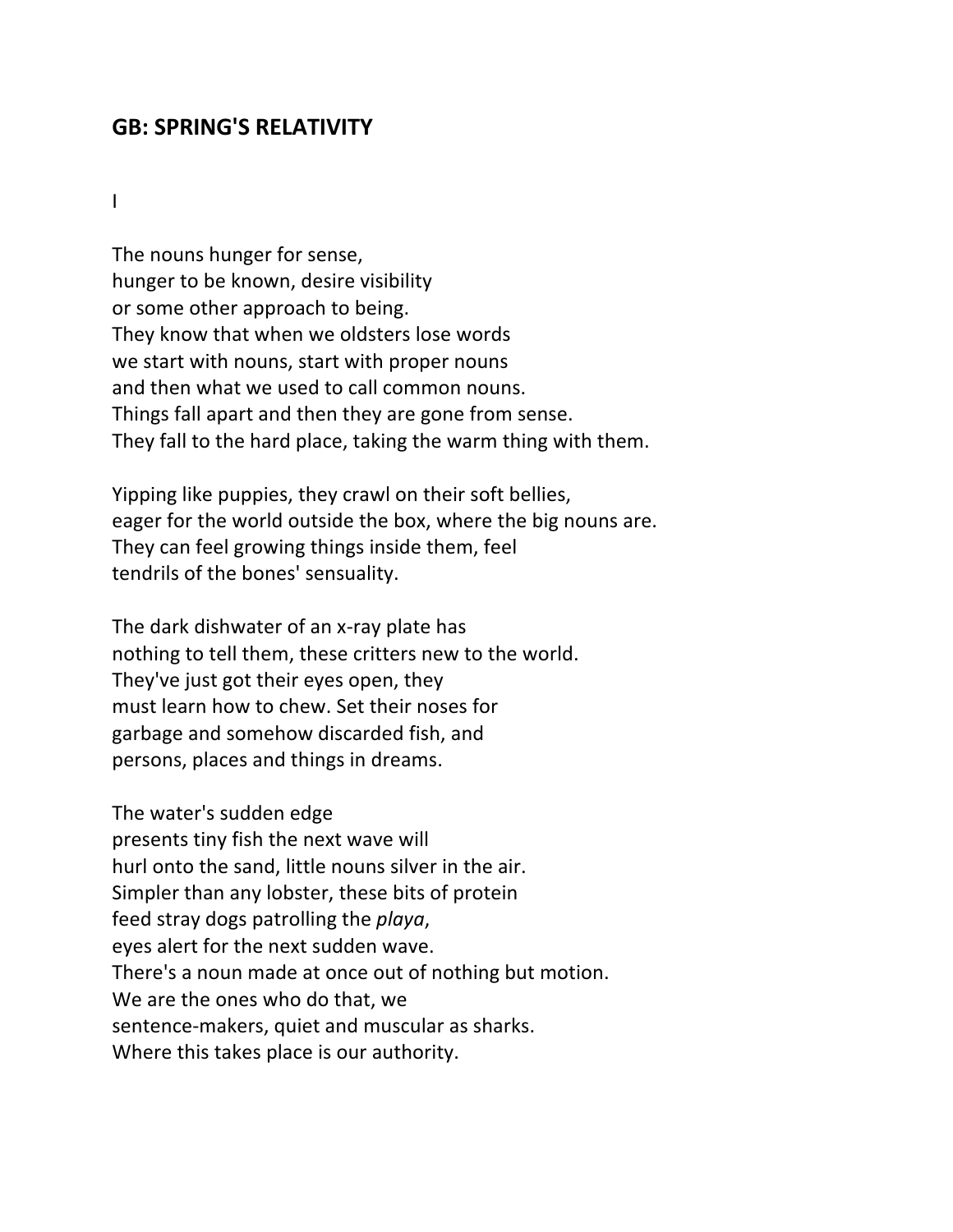## **GB: SPRING'S RELATIVITY**

I

The nouns hunger for sense, hunger to be known, desire visibility or some other approach to being. They know that when we oldsters lose words we start with nouns, start with proper nouns and then what we used to call common nouns. Things fall apart and then they are gone from sense. They fall to the hard place, taking the warm thing with them.

Yipping like puppies, they crawl on their soft bellies, eager for the world outside the box, where the big nouns are. They can feel growing things inside them, feel tendrils of the bones' sensuality.

The dark dishwater of an x-ray plate has nothing to tell them, these critters new to the world. They've just got their eyes open, they must learn how to chew. Set their noses for garbage and somehow discarded fish, and persons, places and things in dreams.

The water's sudden edge presents tiny fish the next wave will hurl onto the sand, little nouns silver in the air. Simpler than any lobster, these bits of protein feed stray dogs patrolling the *playa*, eyes alert for the next sudden wave. There's a noun made at once out of nothing but motion. We are the ones who do that, we sentence-makers, quiet and muscular as sharks. Where this takes place is our authority.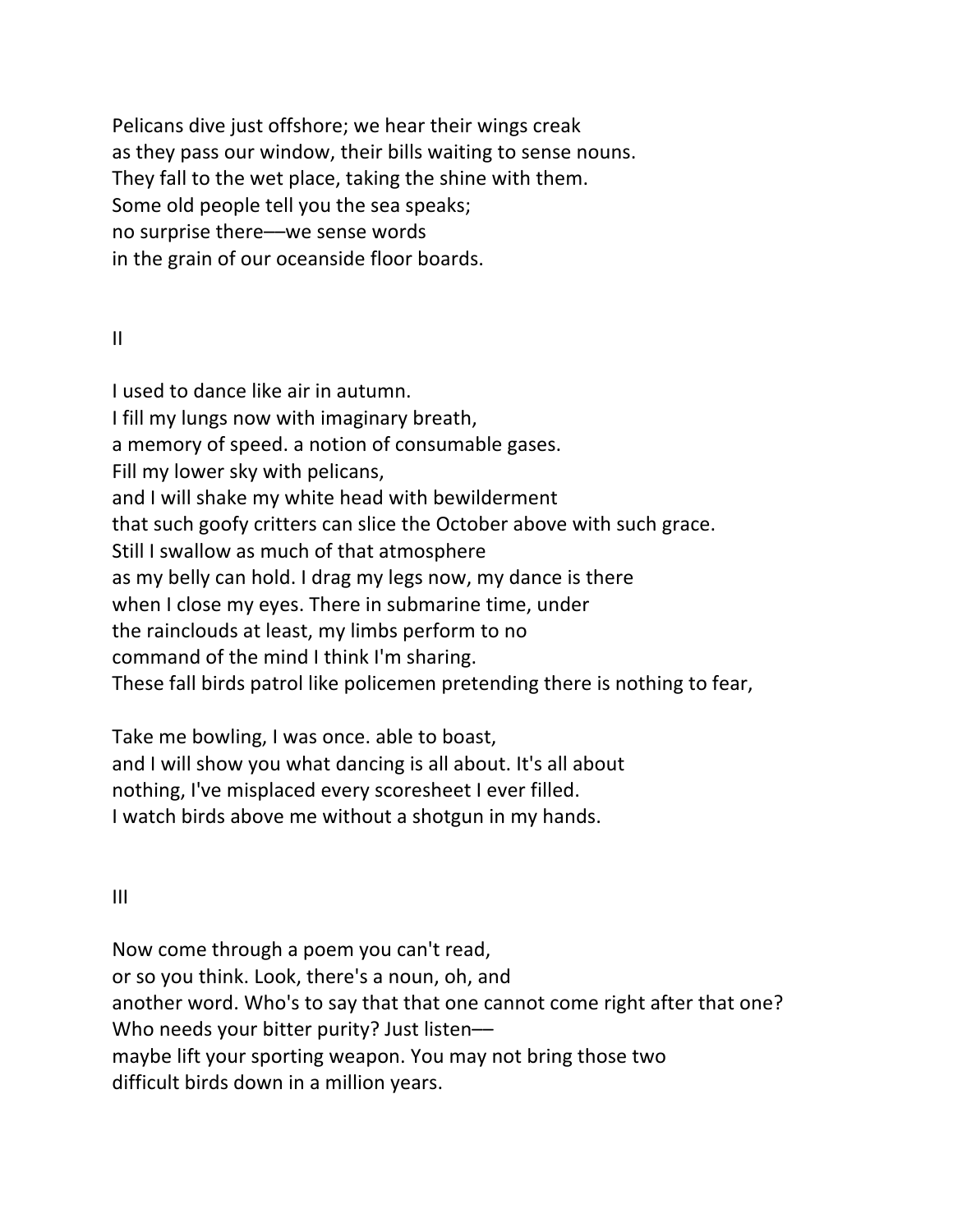Pelicans dive just offshore; we hear their wings creak as they pass our window, their bills waiting to sense nouns. They fall to the wet place, taking the shine with them. Some old people tell you the sea speaks; no surprise there––we sense words in the grain of our oceanside floor boards.

### II

I used to dance like air in autumn. I fill my lungs now with imaginary breath, a memory of speed. a notion of consumable gases. Fill my lower sky with pelicans, and I will shake my white head with bewilderment that such goofy critters can slice the October above with such grace. Still I swallow as much of that atmosphere as my belly can hold. I drag my legs now, my dance is there when I close my eyes. There in submarine time, under the rainclouds at least, my limbs perform to no command of the mind I think I'm sharing. These fall birds patrol like policemen pretending there is nothing to fear,

Take me bowling, I was once. able to boast, and I will show you what dancing is all about. It's all about nothing, I've misplaced every scoresheet I ever filled. I watch birds above me without a shotgun in my hands.

III

Now come through a poem you can't read, or so you think. Look, there's a noun, oh, and another word. Who's to say that that one cannot come right after that one? Who needs your bitter purity? Just listenmaybe lift your sporting weapon. You may not bring those two difficult birds down in a million years.